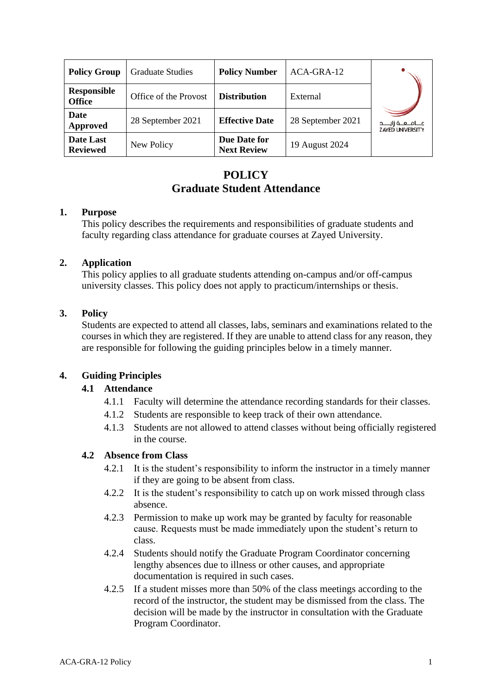| <b>Policy Group</b>                 | <b>Graduate Studies</b> | <b>Policy Number</b>               | ACA-GRA-12        |                                                     |
|-------------------------------------|-------------------------|------------------------------------|-------------------|-----------------------------------------------------|
| <b>Responsible</b><br><b>Office</b> | Office of the Provost   | <b>Distribution</b>                | External          |                                                     |
| Date<br><b>Approved</b>             | 28 September 2021       | <b>Effective Date</b>              | 28 September 2021 | مـــامـــعـــة زايـــــد<br><b>ZAYED UNIVERSITY</b> |
| Date Last<br><b>Reviewed</b>        | New Policy              | Due Date for<br><b>Next Review</b> | 19 August 2024    |                                                     |

# **POLICY Graduate Student Attendance**

## **1. Purpose**

This policy describes the requirements and responsibilities of graduate students and faculty regarding class attendance for graduate courses at Zayed University.

## **2. Application**

This policy applies to all graduate students attending on-campus and/or off-campus university classes. This policy does not apply to practicum/internships or thesis.

# **3. Policy**

Students are expected to attend all classes, labs, seminars and examinations related to the courses in which they are registered. If they are unable to attend class for any reason, they are responsible for following the guiding principles below in a timely manner.

# **4. Guiding Principles**

# **4.1 Attendance**

- 4.1.1 Faculty will determine the attendance recording standards for their classes.
- 4.1.2 Students are responsible to keep track of their own attendance.
- 4.1.3 Students are not allowed to attend classes without being officially registered in the course.

#### **4.2 Absence from Class**

- 4.2.1 It is the student's responsibility to inform the instructor in a timely manner if they are going to be absent from class.
- 4.2.2 It is the student's responsibility to catch up on work missed through class absence.
- 4.2.3 Permission to make up work may be granted by faculty for reasonable cause. Requests must be made immediately upon the student's return to class.
- 4.2.4 Students should notify the Graduate Program Coordinator concerning lengthy absences due to illness or other causes, and appropriate documentation is required in such cases.
- 4.2.5 If a student misses more than 50% of the class meetings according to the record of the instructor, the student may be dismissed from the class. The decision will be made by the instructor in consultation with the Graduate Program Coordinator.